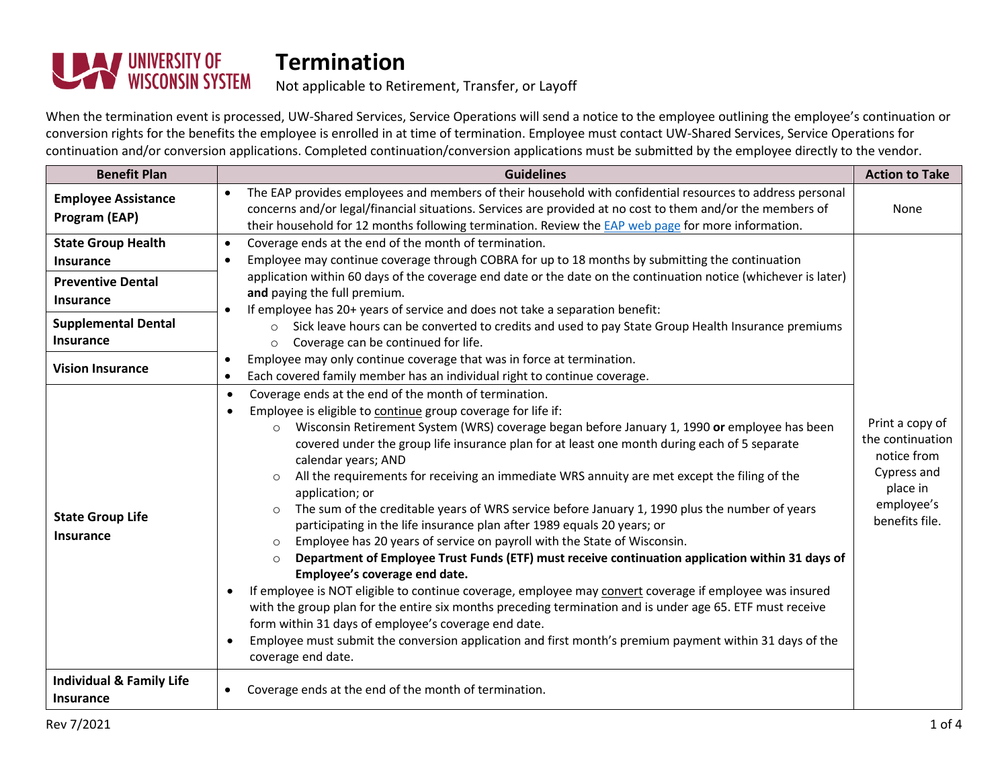

#### Not applicable to Retirement, Transfer, or Layoff

When the termination event is processed, UW-Shared Services, Service Operations will send a notice to the employee outlining the employee's continuation or conversion rights for the benefits the employee is enrolled in at time of termination. Employee must contact UW-Shared Services, Service Operations for continuation and/or conversion applications. Completed continuation/conversion applications must be submitted by the employee directly to the vendor.

| <b>Benefit Plan</b>                                     | <b>Guidelines</b>                                                                                                                                                                                                                                                                                                                                                                                                                                                                                                                                                                                                                                                                                                                                                                                                                                                                                                                                                                                                                                                                                                                                                                                                                                                                                                                                                    | <b>Action to Take</b>                                                                                         |
|---------------------------------------------------------|----------------------------------------------------------------------------------------------------------------------------------------------------------------------------------------------------------------------------------------------------------------------------------------------------------------------------------------------------------------------------------------------------------------------------------------------------------------------------------------------------------------------------------------------------------------------------------------------------------------------------------------------------------------------------------------------------------------------------------------------------------------------------------------------------------------------------------------------------------------------------------------------------------------------------------------------------------------------------------------------------------------------------------------------------------------------------------------------------------------------------------------------------------------------------------------------------------------------------------------------------------------------------------------------------------------------------------------------------------------------|---------------------------------------------------------------------------------------------------------------|
| <b>Employee Assistance</b><br>Program (EAP)             | The EAP provides employees and members of their household with confidential resources to address personal<br>$\bullet$<br>concerns and/or legal/financial situations. Services are provided at no cost to them and/or the members of<br>their household for 12 months following termination. Review the EAP web page for more information.                                                                                                                                                                                                                                                                                                                                                                                                                                                                                                                                                                                                                                                                                                                                                                                                                                                                                                                                                                                                                           | None                                                                                                          |
| <b>State Group Health</b>                               | Coverage ends at the end of the month of termination.<br>$\bullet$                                                                                                                                                                                                                                                                                                                                                                                                                                                                                                                                                                                                                                                                                                                                                                                                                                                                                                                                                                                                                                                                                                                                                                                                                                                                                                   |                                                                                                               |
| <b>Insurance</b>                                        | Employee may continue coverage through COBRA for up to 18 months by submitting the continuation                                                                                                                                                                                                                                                                                                                                                                                                                                                                                                                                                                                                                                                                                                                                                                                                                                                                                                                                                                                                                                                                                                                                                                                                                                                                      |                                                                                                               |
| <b>Preventive Dental</b><br><b>Insurance</b>            | application within 60 days of the coverage end date or the date on the continuation notice (whichever is later)<br>and paying the full premium.<br>If employee has 20+ years of service and does not take a separation benefit:                                                                                                                                                                                                                                                                                                                                                                                                                                                                                                                                                                                                                                                                                                                                                                                                                                                                                                                                                                                                                                                                                                                                      |                                                                                                               |
| <b>Supplemental Dental</b><br><b>Insurance</b>          | Sick leave hours can be converted to credits and used to pay State Group Health Insurance premiums<br>$\circ$<br>Coverage can be continued for life.<br>$\circ$                                                                                                                                                                                                                                                                                                                                                                                                                                                                                                                                                                                                                                                                                                                                                                                                                                                                                                                                                                                                                                                                                                                                                                                                      |                                                                                                               |
| <b>Vision Insurance</b>                                 | Employee may only continue coverage that was in force at termination.<br>$\bullet$<br>Each covered family member has an individual right to continue coverage.<br>٠                                                                                                                                                                                                                                                                                                                                                                                                                                                                                                                                                                                                                                                                                                                                                                                                                                                                                                                                                                                                                                                                                                                                                                                                  |                                                                                                               |
| <b>State Group Life</b><br>Insurance                    | Coverage ends at the end of the month of termination.<br>$\bullet$<br>Employee is eligible to continue group coverage for life if:<br>$\bullet$<br>Wisconsin Retirement System (WRS) coverage began before January 1, 1990 or employee has been<br>$\circ$<br>covered under the group life insurance plan for at least one month during each of 5 separate<br>calendar years; AND<br>All the requirements for receiving an immediate WRS annuity are met except the filing of the<br>$\circ$<br>application; or<br>The sum of the creditable years of WRS service before January 1, 1990 plus the number of years<br>$\circ$<br>participating in the life insurance plan after 1989 equals 20 years; or<br>Employee has 20 years of service on payroll with the State of Wisconsin.<br>$\circ$<br>Department of Employee Trust Funds (ETF) must receive continuation application within 31 days of<br>$\circ$<br>Employee's coverage end date.<br>If employee is NOT eligible to continue coverage, employee may convert coverage if employee was insured<br>٠<br>with the group plan for the entire six months preceding termination and is under age 65. ETF must receive<br>form within 31 days of employee's coverage end date.<br>Employee must submit the conversion application and first month's premium payment within 31 days of the<br>coverage end date. | Print a copy of<br>the continuation<br>notice from<br>Cypress and<br>place in<br>employee's<br>benefits file. |
| <b>Individual &amp; Family Life</b><br><b>Insurance</b> | Coverage ends at the end of the month of termination.                                                                                                                                                                                                                                                                                                                                                                                                                                                                                                                                                                                                                                                                                                                                                                                                                                                                                                                                                                                                                                                                                                                                                                                                                                                                                                                |                                                                                                               |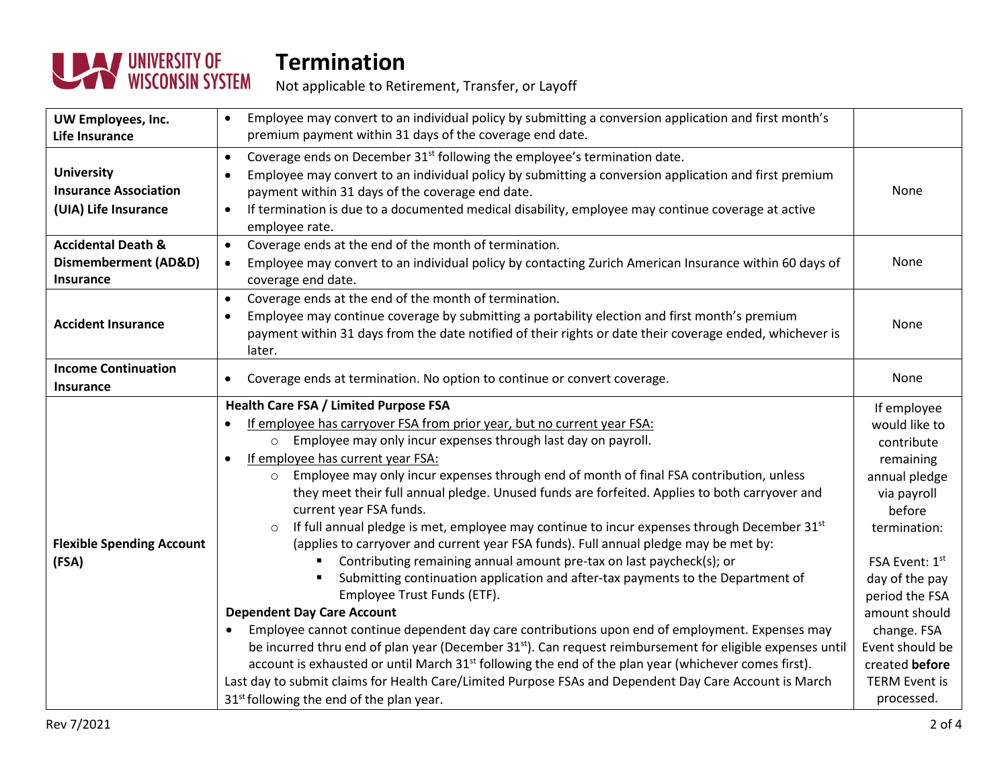

Not applicable to Retirement, Transfer, or Layoff

| UW Employees, Inc.<br>Life Insurance                                                 | Employee may convert to an individual policy by submitting a conversion application and first month's<br>premium payment within 31 days of the coverage end date.                                                                                                                                                                                                                                                                                                                                                                                                                                                                                                                                                                                                                                                                                                                                                                                                                                                                                                                                                                                                                                                                                                                                                                                                                                                  |                                                                                                                                                                                                                                                                                    |
|--------------------------------------------------------------------------------------|--------------------------------------------------------------------------------------------------------------------------------------------------------------------------------------------------------------------------------------------------------------------------------------------------------------------------------------------------------------------------------------------------------------------------------------------------------------------------------------------------------------------------------------------------------------------------------------------------------------------------------------------------------------------------------------------------------------------------------------------------------------------------------------------------------------------------------------------------------------------------------------------------------------------------------------------------------------------------------------------------------------------------------------------------------------------------------------------------------------------------------------------------------------------------------------------------------------------------------------------------------------------------------------------------------------------------------------------------------------------------------------------------------------------|------------------------------------------------------------------------------------------------------------------------------------------------------------------------------------------------------------------------------------------------------------------------------------|
| <b>University</b><br><b>Insurance Association</b><br>(UIA) Life Insurance            | Coverage ends on December 31 <sup>st</sup> following the employee's termination date.<br>$\bullet$<br>Employee may convert to an individual policy by submitting a conversion application and first premium<br>payment within 31 days of the coverage end date.<br>If termination is due to a documented medical disability, employee may continue coverage at active<br>$\bullet$<br>employee rate.                                                                                                                                                                                                                                                                                                                                                                                                                                                                                                                                                                                                                                                                                                                                                                                                                                                                                                                                                                                                               | None                                                                                                                                                                                                                                                                               |
| <b>Accidental Death &amp;</b><br><b>Dismemberment (AD&amp;D)</b><br><b>Insurance</b> | Coverage ends at the end of the month of termination.<br>$\bullet$<br>Employee may convert to an individual policy by contacting Zurich American Insurance within 60 days of<br>$\bullet$<br>coverage end date.                                                                                                                                                                                                                                                                                                                                                                                                                                                                                                                                                                                                                                                                                                                                                                                                                                                                                                                                                                                                                                                                                                                                                                                                    | <b>None</b>                                                                                                                                                                                                                                                                        |
| <b>Accident Insurance</b>                                                            | Coverage ends at the end of the month of termination.<br>$\bullet$<br>Employee may continue coverage by submitting a portability election and first month's premium<br>$\bullet$<br>payment within 31 days from the date notified of their rights or date their coverage ended, whichever is<br>later.                                                                                                                                                                                                                                                                                                                                                                                                                                                                                                                                                                                                                                                                                                                                                                                                                                                                                                                                                                                                                                                                                                             | None                                                                                                                                                                                                                                                                               |
| <b>Income Continuation</b><br><b>Insurance</b>                                       | Coverage ends at termination. No option to continue or convert coverage.<br>$\bullet$                                                                                                                                                                                                                                                                                                                                                                                                                                                                                                                                                                                                                                                                                                                                                                                                                                                                                                                                                                                                                                                                                                                                                                                                                                                                                                                              | None                                                                                                                                                                                                                                                                               |
| <b>Flexible Spending Account</b><br>(FSA)                                            | <b>Health Care FSA / Limited Purpose FSA</b><br>If employee has carryover FSA from prior year, but no current year FSA:<br>Employee may only incur expenses through last day on payroll.<br>$\Omega$<br>If employee has current year FSA:<br>Employee may only incur expenses through end of month of final FSA contribution, unless<br>$\circ$<br>they meet their full annual pledge. Unused funds are forfeited. Applies to both carryover and<br>current year FSA funds.<br>If full annual pledge is met, employee may continue to incur expenses through December 31st<br>(applies to carryover and current year FSA funds). Full annual pledge may be met by:<br>Contributing remaining annual amount pre-tax on last paycheck(s); or<br>Submitting continuation application and after-tax payments to the Department of<br>Employee Trust Funds (ETF).<br><b>Dependent Day Care Account</b><br>Employee cannot continue dependent day care contributions upon end of employment. Expenses may<br>be incurred thru end of plan year (December 31 <sup>st</sup> ). Can request reimbursement for eligible expenses until<br>account is exhausted or until March 31 <sup>st</sup> following the end of the plan year (whichever comes first).<br>Last day to submit claims for Health Care/Limited Purpose FSAs and Dependent Day Care Account is March<br>31 <sup>st</sup> following the end of the plan year. | If employee<br>would like to<br>contribute<br>remaining<br>annual pledge<br>via payroll<br>before<br>termination:<br>FSA Event: 1st<br>day of the pay<br>period the FSA<br>amount should<br>change. FSA<br>Event should be<br>created before<br><b>TERM Event is</b><br>processed. |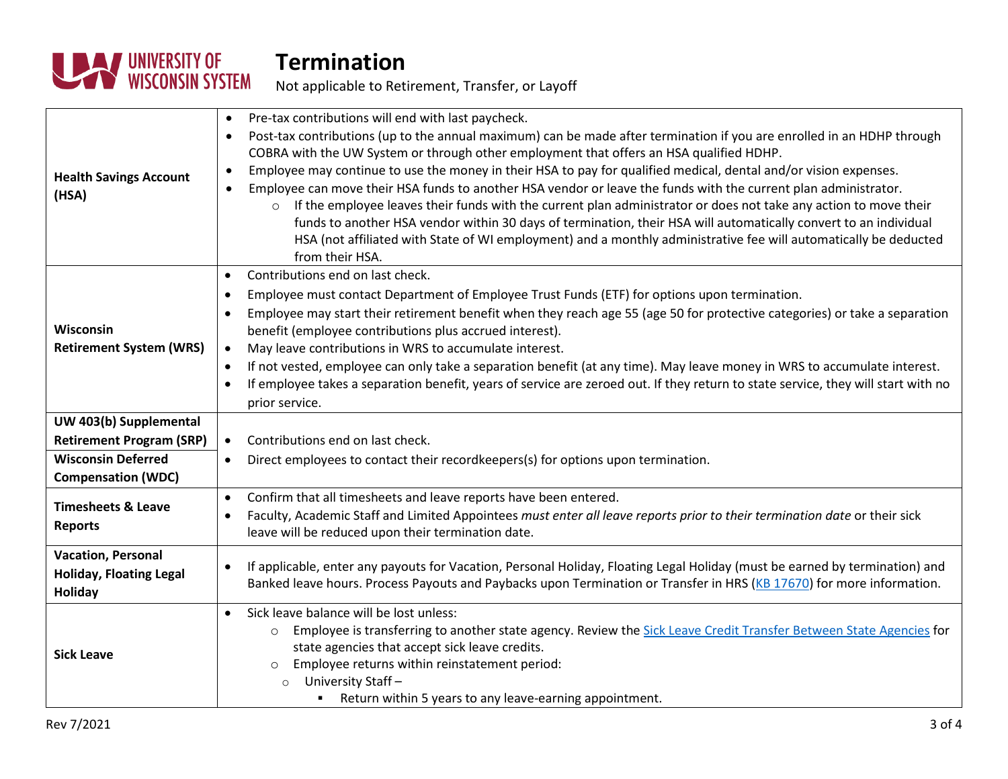

Not applicable to Retirement, Transfer, or Layoff

| <b>Health Savings Account</b><br>(HSA)                                                                              | Pre-tax contributions will end with last paycheck.<br>$\bullet$<br>Post-tax contributions (up to the annual maximum) can be made after termination if you are enrolled in an HDHP through<br>$\bullet$<br>COBRA with the UW System or through other employment that offers an HSA qualified HDHP.<br>Employee may continue to use the money in their HSA to pay for qualified medical, dental and/or vision expenses.<br>$\bullet$<br>Employee can move their HSA funds to another HSA vendor or leave the funds with the current plan administrator.<br>$\bullet$<br>If the employee leaves their funds with the current plan administrator or does not take any action to move their<br>$\circ$<br>funds to another HSA vendor within 30 days of termination, their HSA will automatically convert to an individual<br>HSA (not affiliated with State of WI employment) and a monthly administrative fee will automatically be deducted |
|---------------------------------------------------------------------------------------------------------------------|-------------------------------------------------------------------------------------------------------------------------------------------------------------------------------------------------------------------------------------------------------------------------------------------------------------------------------------------------------------------------------------------------------------------------------------------------------------------------------------------------------------------------------------------------------------------------------------------------------------------------------------------------------------------------------------------------------------------------------------------------------------------------------------------------------------------------------------------------------------------------------------------------------------------------------------------|
| Wisconsin<br><b>Retirement System (WRS)</b>                                                                         | from their HSA.<br>Contributions end on last check.<br>Employee must contact Department of Employee Trust Funds (ETF) for options upon termination.<br>Employee may start their retirement benefit when they reach age 55 (age 50 for protective categories) or take a separation<br>benefit (employee contributions plus accrued interest).<br>May leave contributions in WRS to accumulate interest.<br>If not vested, employee can only take a separation benefit (at any time). May leave money in WRS to accumulate interest.<br>$\bullet$<br>If employee takes a separation benefit, years of service are zeroed out. If they return to state service, they will start with no<br>$\bullet$<br>prior service.                                                                                                                                                                                                                       |
| UW 403(b) Supplemental<br><b>Retirement Program (SRP)</b><br><b>Wisconsin Deferred</b><br><b>Compensation (WDC)</b> | Contributions end on last check.<br>$\bullet$<br>Direct employees to contact their recordkeepers(s) for options upon termination.<br>$\bullet$                                                                                                                                                                                                                                                                                                                                                                                                                                                                                                                                                                                                                                                                                                                                                                                            |
| <b>Timesheets &amp; Leave</b><br><b>Reports</b>                                                                     | Confirm that all timesheets and leave reports have been entered.<br>$\bullet$<br>Faculty, Academic Staff and Limited Appointees must enter all leave reports prior to their termination date or their sick<br>$\bullet$<br>leave will be reduced upon their termination date.                                                                                                                                                                                                                                                                                                                                                                                                                                                                                                                                                                                                                                                             |
| <b>Vacation, Personal</b><br><b>Holiday, Floating Legal</b><br><b>Holiday</b>                                       | If applicable, enter any payouts for Vacation, Personal Holiday, Floating Legal Holiday (must be earned by termination) and<br>Banked leave hours. Process Payouts and Paybacks upon Termination or Transfer in HRS (KB 17670) for more information.                                                                                                                                                                                                                                                                                                                                                                                                                                                                                                                                                                                                                                                                                      |
| <b>Sick Leave</b>                                                                                                   | Sick leave balance will be lost unless:<br>$\bullet$<br>Employee is transferring to another state agency. Review the Sick Leave Credit Transfer Between State Agencies for<br>$\circ$<br>state agencies that accept sick leave credits.<br>Employee returns within reinstatement period:<br>$\circ$<br>University Staff-<br>$\circ$<br>Return within 5 years to any leave-earning appointment.<br>л.                                                                                                                                                                                                                                                                                                                                                                                                                                                                                                                                      |